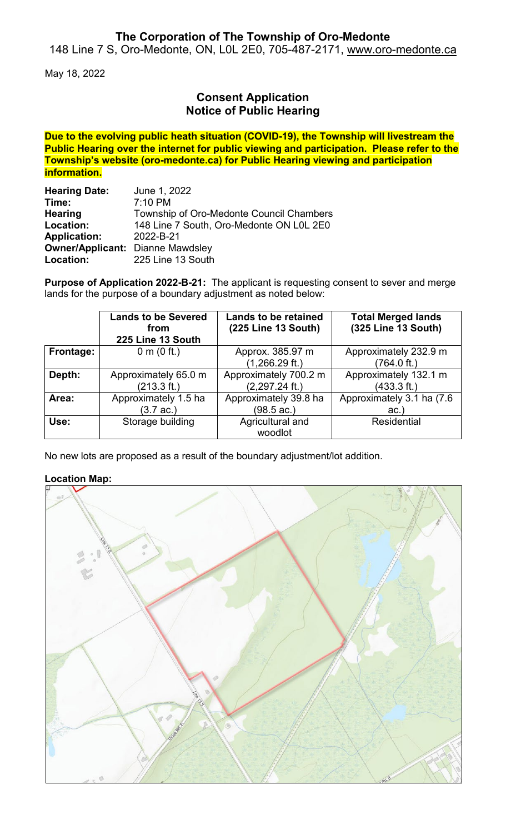## **The Corporation of The Township of Oro-Medonte**

148 Line 7 S, Oro-Medonte, ON, L0L 2E0, 705-487-2171, [www.oro-medonte.ca](http://www.oro-medonte.ca/)

May 18, 2022

## **Consent Application Notice of Public Hearing**

**Due to the evolving public heath situation (COVID-19), the Township will livestream the Public Hearing over the internet for public viewing and participation. Please refer to the Township's website (oro-medonte.ca) for Public Hearing viewing and participation information.**

| <b>Hearing Date:</b>                    | June 1, 2022                             |  |  |
|-----------------------------------------|------------------------------------------|--|--|
| Time:                                   | 7:10 PM                                  |  |  |
| <b>Hearing</b>                          | Township of Oro-Medonte Council Chambers |  |  |
| Location:                               | 148 Line 7 South, Oro-Medonte ON L0L 2E0 |  |  |
| <b>Application:</b>                     | 2022-B-21                                |  |  |
| <b>Owner/Applicant: Dianne Mawdsley</b> |                                          |  |  |
| Location:                               | 225 Line 13 South                        |  |  |

**Purpose of Application 2022-B-21:** The applicant is requesting consent to sever and merge lands for the purpose of a boundary adjustment as noted below:

|           | <b>Lands to be Severed</b><br>from<br>225 Line 13 South | <b>Lands to be retained</b><br>(225 Line 13 South) | <b>Total Merged lands</b><br>(325 Line 13 South) |
|-----------|---------------------------------------------------------|----------------------------------------------------|--------------------------------------------------|
| Frontage: | 0 m $(0 \text{ ft.})$                                   | Approx. 385.97 m                                   | Approximately 232.9 m                            |
|           |                                                         | $(1,266.29 \text{ ft.})$                           | (764.0 ft.)                                      |
| Depth:    | Approximately 65.0 m                                    | Approximately 700.2 m                              | Approximately 132.1 m                            |
|           | (213.3 ft.)                                             | $(2,297.24$ ft.)                                   | (433.3 ft.)                                      |
| Area:     | Approximately 1.5 ha                                    | Approximately 39.8 ha                              | Approximately 3.1 ha (7.6)                       |
|           | $(3.7 \text{ ac.})$                                     | $(98.5 \text{ ac.})$                               | ac.                                              |
| Use:      | Storage building                                        | Agricultural and                                   | <b>Residential</b>                               |
|           |                                                         | woodlot                                            |                                                  |

No new lots are proposed as a result of the boundary adjustment/lot addition.

### **Location Map:**

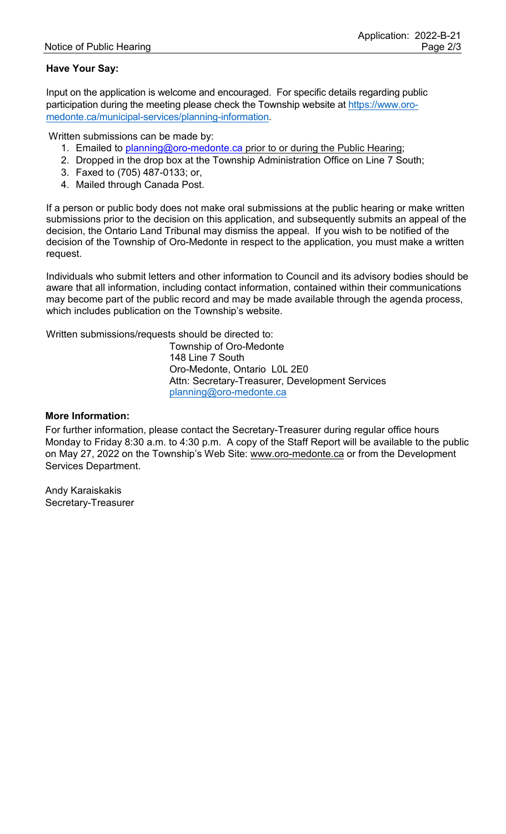### **Have Your Say:**

Input on the application is welcome and encouraged. For specific details regarding public participation during the meeting please check the Township website at [https://www.oro](https://www.oro-medonte.ca/municipal-services/planning-information)[medonte.ca/municipal-services/planning-information.](https://www.oro-medonte.ca/municipal-services/planning-information)

Written submissions can be made by:

- 1. Emailed to [planning@oro-medonte.ca](mailto:planning@oro-medonte.ca) prior to or during the Public Hearing;
- 2. Dropped in the drop box at the Township Administration Office on Line 7 South;
- 3. Faxed to (705) 487-0133; or,
- 4. Mailed through Canada Post.

If a person or public body does not make oral submissions at the public hearing or make written submissions prior to the decision on this application, and subsequently submits an appeal of the decision, the Ontario Land Tribunal may dismiss the appeal. If you wish to be notified of the decision of the Township of Oro-Medonte in respect to the application, you must make a written request.

Individuals who submit letters and other information to Council and its advisory bodies should be aware that all information, including contact information, contained within their communications may become part of the public record and may be made available through the agenda process, which includes publication on the Township's website.

Written submissions/requests should be directed to:

Township of Oro-Medonte 148 Line 7 South Oro-Medonte, Ontario L0L 2E0 Attn: Secretary-Treasurer, Development Services [planning@oro-medonte.ca](mailto:planning@oro-medonte.ca)

#### **More Information:**

For further information, please contact the Secretary-Treasurer during regular office hours Monday to Friday 8:30 a.m. to 4:30 p.m. A copy of the Staff Report will be available to the public on May 27, 2022 on the Township's Web Site: [www.oro-medonte.ca](http://www.oro-medonte.ca/) or from the Development Services Department.

Andy Karaiskakis Secretary-Treasurer